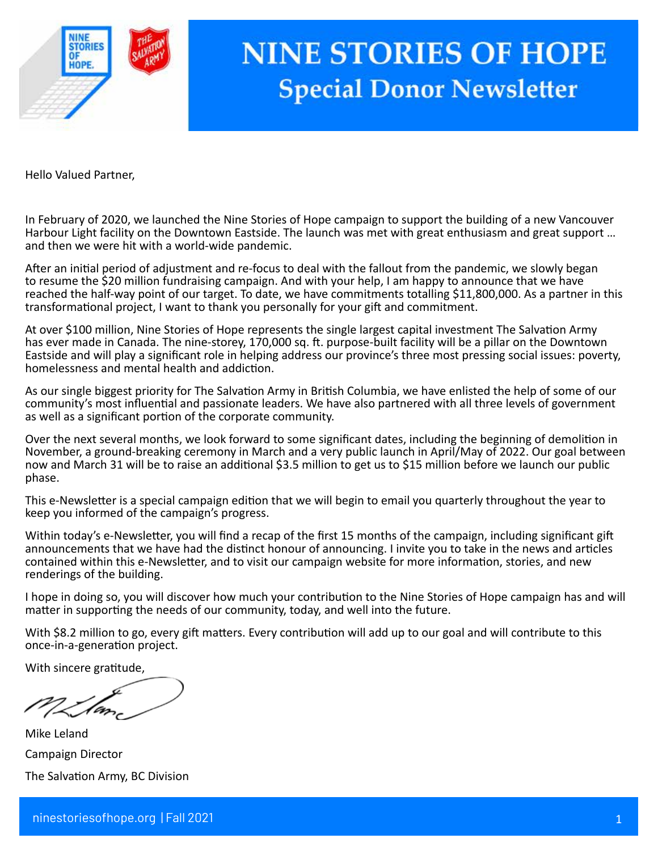

# **NINE STORIES OF HOPE Special Donor Newsletter**

Hello Valued Partner,

In February of 2020, we launched the Nine Stories of Hope campaign to support the building of a new Vancouver Harbour Light facility on the Downtown Eastside. The launch was met with great enthusiasm and great support … and then we were hit with a world-wide pandemic.

After an initial period of adjustment and re-locus to deal with the failout from the pandemic, we slowly bega<br>to resume the \$20 million fundraising campaign. And with your help, I am happy to announce that we have<br>reached After an initial period of adjustment and re-focus to deal with the fallout from the pandemic, we slowly began reached the half-way point of our target. To date, we have commitments totalling \$11,800,000. As a partner in this transformational project, I want to thank you personally for your gift and commitment.

At over \$100 million, Nine Stories of Hope represents the single largest capital investment The Salvation Army has ever made in Canada. The nine-storey, 170,000 sq. ft. purpose-built facility will be a pillar on the Downtown Eastside and will play a significant role in helping address our province's three most pressing social issues: poverty, homelessness and mental health and addiction.

As our single biggest priority for The Salvation Army in British Columbia, we have enlisted the help of some of our community's most influential and passionate leaders. We have also partnered with all three levels of government as well as a significant portion of the corporate community.

Over the next several months, we look forward to some significant dates, including the beginning of demolition in November, a ground-breaking ceremony in March and a very public launch in April/May of 2022. Our goal between now and March 31 will be to raise an additional \$3.5 million to get us to \$15 million before we launch our public phase.

This e-Newsletter is a special campaign edition that we will begin to email you quarterly throughout the year to keep you informed of the campaign's progress.

Within today's e-Newsletter, you will find a recap of the first 15 months of the campaign, including significant gift announcements that we have had the distinct honour of announcing. I invite you to take in the news and articles contained within this e-Newsletter, and to visit our campaign website for more information, stories, and new renderings of the building.

I hope in doing so, you will discover how much your contribution to the Nine Stories of Hope campaign has and will matter in supporting the needs of our community, today, and well into the future.

With \$8.2 million to go, every gift matters. Every contribution will add up to our goal and will contribute to this once-in-a-generation project.

With sincere gratitude,

Mike Leland Campaign Director The Salvation Army, BC Division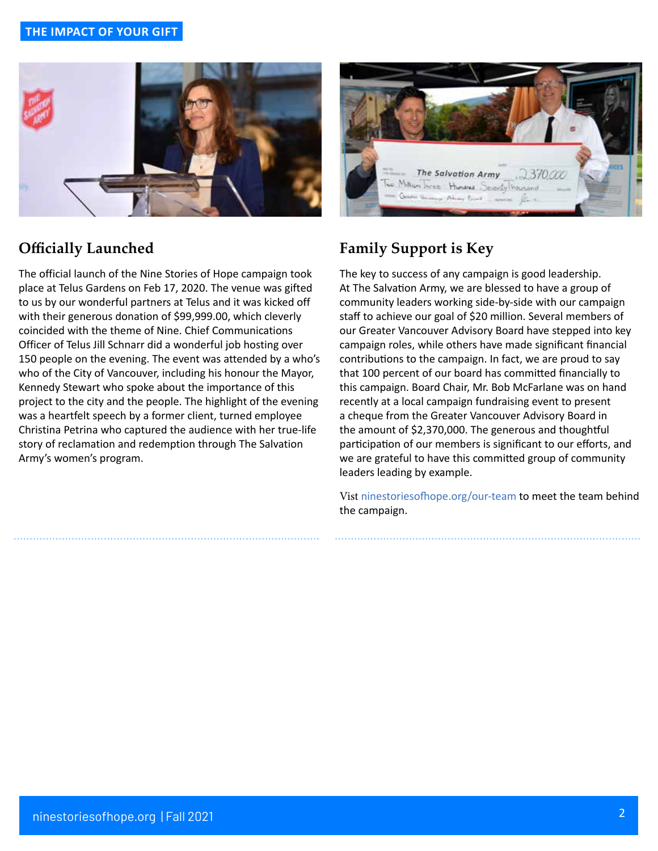#### **THE IMPACT OF YOUR GIFT**



### **Officially Launched**

The official launch of the Nine Stories of Hope campaign took place at Telus Gardens on Feb 17, 2020. The venue was gifted to us by our wonderful partners at Telus and it was kicked off with their generous donation of \$99,999.00, which cleverly coincided with the theme of Nine. Chief Communications Officer of Telus Jill Schnarr did a wonderful job hosting over 150 people on the evening. The event was attended by a who's who of the City of Vancouver, including his honour the Mayor, Kennedy Stewart who spoke about the importance of this project to the city and the people. The highlight of the evening was a heartfelt speech by a former client, turned employee Christina Petrina who captured the audience with her true-life story of reclamation and redemption through The Salvation Army's women's program.



# **Family Support is Key**

The key to success of any campaign is good leadership. At The Salvation Army, we are blessed to have a group of community leaders working side-by-side with our campaign staff to achieve our goal of \$20 million. Several members of our Greater Vancouver Advisory Board have stepped into key campaign roles, while others have made significant financial contributions to the campaign. In fact, we are proud to say that 100 percent of our board has committed financially to this campaign. Board Chair, Mr. Bob McFarlane was on hand recently at a local campaign fundraising event to present a cheque from the Greater Vancouver Advisory Board in the amount of \$2,370,000. The generous and thoughtful participation of our members is significant to our efforts, and we are grateful to have this committed group of community leaders leading by example.

Vist ninestoriesofhope.org/our-team to meet the team behind the campaign.